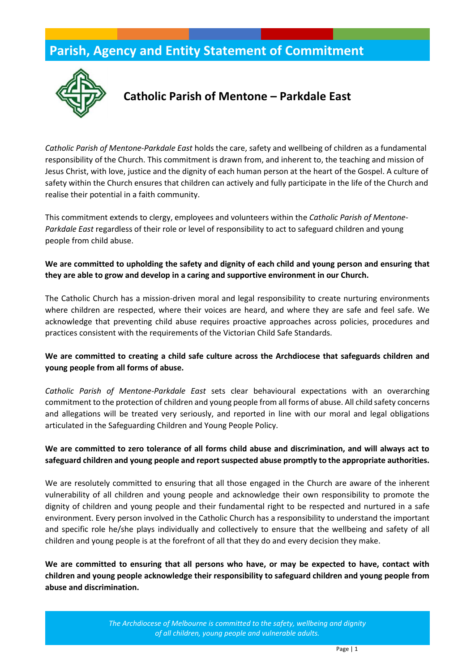## **Parish, Agency and Entity Statement of Commitment**



### **Catholic Parish of Mentone – Parkdale East**

*Catholic Parish of Mentone-Parkdale East* holds the care, safety and wellbeing of children as a fundamental responsibility of the Church. This commitment is drawn from, and inherent to, the teaching and mission of Jesus Christ, with love, justice and the dignity of each human person at the heart of the Gospel. A culture of safety within the Church ensures that children can actively and fully participate in the life of the Church and realise their potential in a faith community.

This commitment extends to clergy, employees and volunteers within the *Catholic Parish of Mentone-Parkdale East* regardless of their role or level of responsibility to act to safeguard children and young people from child abuse.

#### **We are committed to upholding the safety and dignity of each child and young person and ensuring that they are able to grow and develop in a caring and supportive environment in our Church.**

The Catholic Church has a mission-driven moral and legal responsibility to create nurturing environments where children are respected, where their voices are heard, and where they are safe and feel safe. We acknowledge that preventing child abuse requires proactive approaches across policies, procedures and practices consistent with the requirements of the Victorian Child Safe Standards.

#### **We are committed to creating a child safe culture across the Archdiocese that safeguards children and young people from all forms of abuse.**

*Catholic Parish of Mentone-Parkdale East* sets clear behavioural expectations with an overarching commitment to the protection of children and young people from all forms of abuse. All child safety concerns and allegations will be treated very seriously, and reported in line with our moral and legal obligations articulated in the Safeguarding Children and Young People Policy.

#### **We are committed to zero tolerance of all forms child abuse and discrimination, and will always act to safeguard children and young people and report suspected abuse promptly to the appropriate authorities.**

We are resolutely committed to ensuring that all those engaged in the Church are aware of the inherent vulnerability of all children and young people and acknowledge their own responsibility to promote the dignity of children and young people and their fundamental right to be respected and nurtured in a safe environment. Every person involved in the Catholic Church has a responsibility to understand the important and specific role he/she plays individually and collectively to ensure that the wellbeing and safety of all children and young people is at the forefront of all that they do and every decision they make.

**We are committed to ensuring that all persons who have, or may be expected to have, contact with children and young people acknowledge their responsibility to safeguard children and young people from abuse and discrimination.**

*The Archdiocese of Melbourne is committed to the safety, wellbeing and dignity of all children, young people and vulnerable adults.* **C<sub>D</sub>** an emarch, young people and vanierable dualistic page | 1